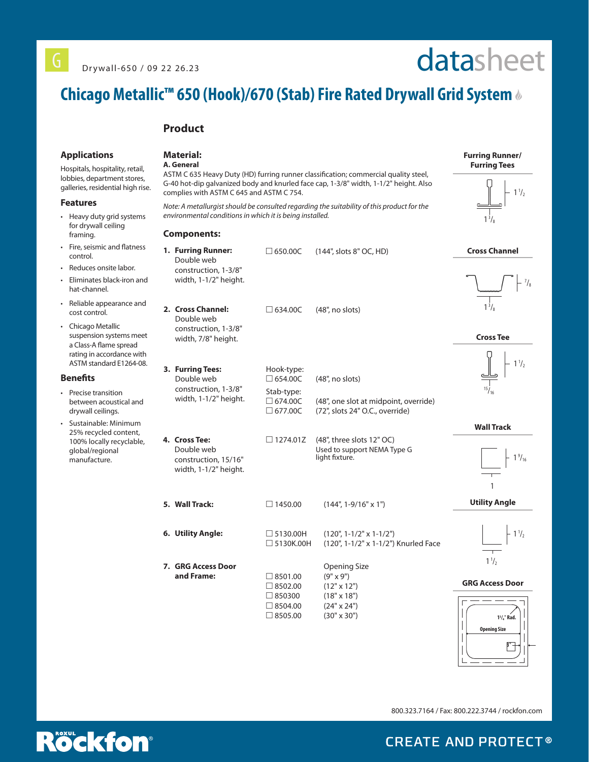# datasheet

# **Chicago Metallic™ 650 (Hook)/670 (Stab) Fire Rated Drywall Grid System**

### **Product**

#### **Applications**

Hospitals, hospitality, retail, lobbies, department stores, galleries, residential high rise.

#### **Features**

- Heavy duty grid systems for drywall ceiling framing.
- Fire, seismic and flatness control.
- Reduces onsite labor.
- Eliminates black-iron and hat-channel.
- Reliable appearance and cost control.
- Chicago Metallic suspension systems meet a Class-A flame spread rating in accordance with ASTM standard E1264-08.

#### **Benefits**

- Precise transition between acoustical and drywall ceilings.
- Sustainable: Minimum 25% recycled content, 100% locally recyclable, global/regional manufacture.

## **Material:**

#### **A. General**

**Components:**

ASTM C 635 Heavy Duty (HD) furring runner classification; commercial quality steel, G-40 hot-dip galvanized body and knurled face cap, 1-3/8" width, 1-1/2" height. Also complies with ASTM C 645 and ASTM C 754.

*Note: A metallurgist should be consulted regarding the suitability of this product for the environmental conditions in which it is being installed.* 

| 1. Furring Runner:<br>Double web<br>construction, 1-3/8"<br>width, 1-1/2" height. |               | $\Box$ 650.00C                                                                 | (144", slots 8" OC, HD)                                                                                                         | <b>Cross Chan</b>                     |
|-----------------------------------------------------------------------------------|---------------|--------------------------------------------------------------------------------|---------------------------------------------------------------------------------------------------------------------------------|---------------------------------------|
| 2. Cross Channel:<br>Double web<br>construction, 1-3/8"<br>width, 7/8" height.    |               | $\Box$ 634.00C                                                                 | $(48"$ , no slots)                                                                                                              | $1^{3}/_{8}$<br><b>Cross Tee</b>      |
| 3. Furring Tees:<br>Double web<br>construction, 1-3/8"<br>width, 1-1/2" height.   |               | Hook-type:<br>$\Box$ 654.00C<br>Stab-type:<br>$\Box$ 674.00C<br>$\Box$ 677.00C | (48", no slots)<br>(48", one slot at midpoint, override)<br>(72", slots 24" O.C., override)                                     |                                       |
| 4. Cross Tee:<br>Double web<br>construction, 15/16"<br>width, 1-1/2" height.      |               | $\Box$ 1274.01Z                                                                | (48", three slots 12" OC)<br>Used to support NEMA Type G<br>light fixture.                                                      | <b>Wall Trac</b>                      |
| 5. Wall Track:                                                                    |               | $\Box$ 1450.00                                                                 | $(144", 1-9/16" \times 1")$                                                                                                     | 1<br><b>Utility Ang</b>               |
| 6. Utility Angle:                                                                 |               | $\Box$ 5130.00H<br>$\Box$ 5130K.00H                                            | $(120", 1-1/2" \times 1-1/2")$<br>(120", 1-1/2" x 1-1/2") Knurled Face                                                          |                                       |
| 7. GRG Access Door<br>and Frame:                                                  | $\Box$ 850300 | $\Box$ 8501.00<br>$\Box$ 8502.00<br>$\Box$ 8504.00<br>$\Box$ 8505.00           | <b>Opening Size</b><br>$(9" \times 9")$<br>$(12" \times 12")$<br>$(18" \times 18")$<br>$(24" \times 24")$<br>$(30" \times 30")$ | $1\frac{1}{2}$<br><b>GRG Access I</b> |

nel  $1<sup>3</sup>$  $/$ <sub>8</sub>

 $1\frac{1}{2}$ 

**Furring Runner/ Furring Tees**





#### **Wall Track**



**J**le



#### Door



800.323.7164 / Fax: 800.222.3744 / rockfon.com



**CREATE AND PROTECT®**